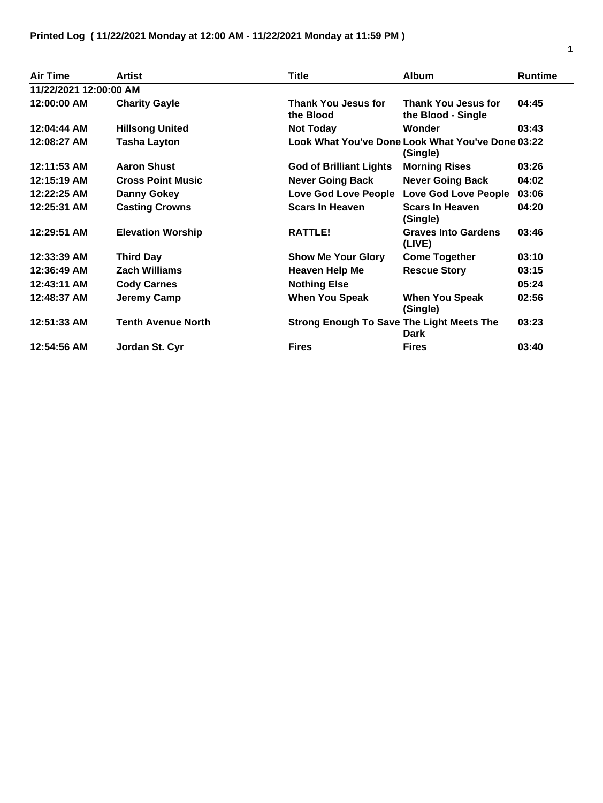| Air Time               | Artist                    | <b>Title</b>                                     | <b>Album</b>                                                  | <b>Runtime</b> |
|------------------------|---------------------------|--------------------------------------------------|---------------------------------------------------------------|----------------|
| 11/22/2021 12:00:00 AM |                           |                                                  |                                                               |                |
| 12:00:00 AM            | <b>Charity Gayle</b>      | Thank You Jesus for<br>the Blood                 | <b>Thank You Jesus for</b><br>the Blood - Single              | 04:45          |
| 12:04:44 AM            | <b>Hillsong United</b>    | <b>Not Today</b>                                 | Wonder                                                        | 03:43          |
| 12:08:27 AM            | <b>Tasha Layton</b>       |                                                  | Look What You've Done Look What You've Done 03:22<br>(Single) |                |
| 12:11:53 AM            | <b>Aaron Shust</b>        | <b>God of Brilliant Lights</b>                   | <b>Morning Rises</b>                                          | 03:26          |
| 12:15:19 AM            | <b>Cross Point Music</b>  | <b>Never Going Back</b>                          | <b>Never Going Back</b>                                       | 04:02          |
| 12:22:25 AM            | <b>Danny Gokey</b>        | Love God Love People                             | <b>Love God Love People</b>                                   | 03:06          |
| 12:25:31 AM            | <b>Casting Crowns</b>     | <b>Scars In Heaven</b>                           | <b>Scars In Heaven</b><br>(Single)                            | 04:20          |
| 12:29:51 AM            | <b>Elevation Worship</b>  | <b>RATTLE!</b>                                   | <b>Graves Into Gardens</b><br>(LIVE)                          | 03:46          |
| 12:33:39 AM            | <b>Third Day</b>          | <b>Show Me Your Glory</b>                        | <b>Come Together</b>                                          | 03:10          |
| 12:36:49 AM            | <b>Zach Williams</b>      | Heaven Help Me                                   | <b>Rescue Story</b>                                           | 03:15          |
| 12:43:11 AM            | <b>Cody Carnes</b>        | <b>Nothing Else</b>                              |                                                               | 05:24          |
| 12:48:37 AM            | Jeremy Camp               | <b>When You Speak</b>                            | <b>When You Speak</b><br>(Single)                             | 02:56          |
| 12:51:33 AM            | <b>Tenth Avenue North</b> | <b>Strong Enough To Save The Light Meets The</b> | Dark                                                          | 03:23          |
| 12:54:56 AM            | Jordan St. Cyr            | <b>Fires</b>                                     | <b>Fires</b>                                                  | 03:40          |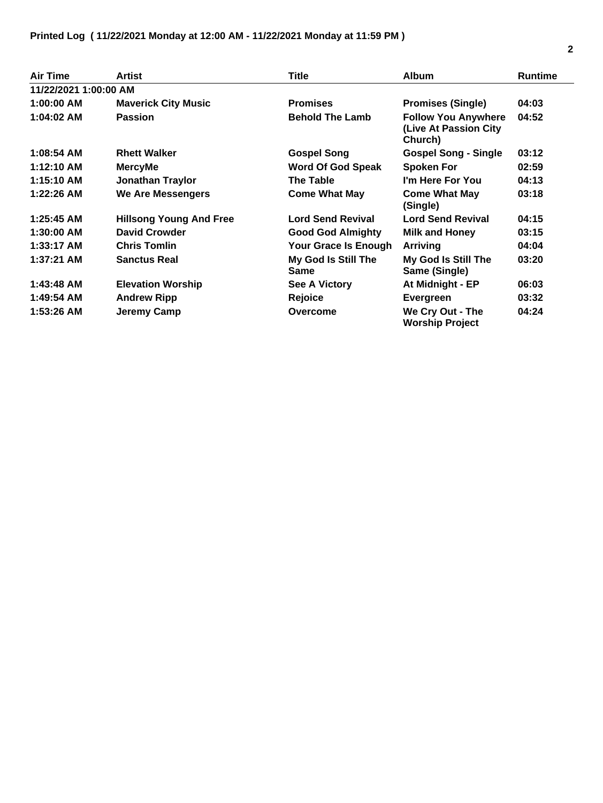| <b>Air Time</b>       | <b>Artist</b>                  | Title                              | <b>Album</b>                                                   | <b>Runtime</b> |
|-----------------------|--------------------------------|------------------------------------|----------------------------------------------------------------|----------------|
| 11/22/2021 1:00:00 AM |                                |                                    |                                                                |                |
| $1:00:00$ AM          | <b>Maverick City Music</b>     | <b>Promises</b>                    | <b>Promises (Single)</b>                                       | 04:03          |
| 1:04:02 AM            | <b>Passion</b>                 | <b>Behold The Lamb</b>             | <b>Follow You Anywhere</b><br>(Live At Passion City<br>Church) | 04:52          |
| 1:08:54 AM            | <b>Rhett Walker</b>            | <b>Gospel Song</b>                 | <b>Gospel Song - Single</b>                                    | 03:12          |
| 1:12:10 AM            | <b>MercyMe</b>                 | <b>Word Of God Speak</b>           | <b>Spoken For</b>                                              | 02:59          |
| 1:15:10 AM            | <b>Jonathan Traylor</b>        | <b>The Table</b>                   | I'm Here For You                                               | 04:13          |
| $1:22:26$ AM          | <b>We Are Messengers</b>       | <b>Come What May</b>               | <b>Come What May</b><br>(Single)                               | 03:18          |
| $1:25:45$ AM          | <b>Hillsong Young And Free</b> | <b>Lord Send Revival</b>           | <b>Lord Send Revival</b>                                       | 04:15          |
| 1:30:00 AM            | <b>David Crowder</b>           | <b>Good God Almighty</b>           | <b>Milk and Honey</b>                                          | 03:15          |
| $1:33:17$ AM          | <b>Chris Tomlin</b>            | Your Grace Is Enough               | Arriving                                                       | 04:04          |
| $1:37:21$ AM          | <b>Sanctus Real</b>            | My God Is Still The<br><b>Same</b> | My God Is Still The<br>Same (Single)                           | 03:20          |
| $1:43:48$ AM          | <b>Elevation Worship</b>       | <b>See A Victory</b>               | At Midnight - EP                                               | 06:03          |
| 1:49:54 AM            | <b>Andrew Ripp</b>             | <b>Rejoice</b>                     | Evergreen                                                      | 03:32          |
| 1:53:26 AM            | Jeremy Camp                    | Overcome                           | We Cry Out - The<br><b>Worship Project</b>                     | 04:24          |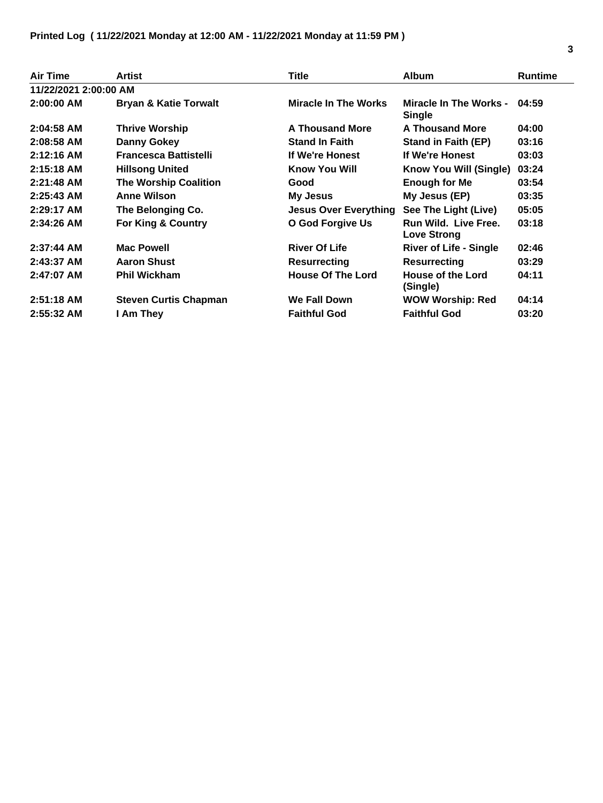| <b>Air Time</b>       | Artist                           | <b>Title</b>                 | <b>Album</b>                                   | <b>Runtime</b> |
|-----------------------|----------------------------------|------------------------------|------------------------------------------------|----------------|
| 11/22/2021 2:00:00 AM |                                  |                              |                                                |                |
| $2:00:00$ AM          | <b>Bryan &amp; Katie Torwalt</b> | <b>Miracle In The Works</b>  | <b>Miracle In The Works -</b><br><b>Single</b> | 04:59          |
| $2:04:58$ AM          | <b>Thrive Worship</b>            | <b>A Thousand More</b>       | <b>A Thousand More</b>                         | 04:00          |
| $2:08:58$ AM          | <b>Danny Gokey</b>               | <b>Stand In Faith</b>        | <b>Stand in Faith (EP)</b>                     | 03:16          |
| $2:12:16$ AM          | <b>Francesca Battistelli</b>     | If We're Honest              | If We're Honest                                | 03:03          |
| $2:15:18$ AM          | <b>Hillsong United</b>           | <b>Know You Will</b>         | Know You Will (Single)                         | 03:24          |
| $2:21:48$ AM          | <b>The Worship Coalition</b>     | Good                         | <b>Enough for Me</b>                           | 03:54          |
| $2:25:43$ AM          | <b>Anne Wilson</b>               | My Jesus                     | My Jesus (EP)                                  | 03:35          |
| $2:29:17$ AM          | The Belonging Co.                | <b>Jesus Over Everything</b> | See The Light (Live)                           | 05:05          |
| 2:34:26 AM            | For King & Country               | O God Forgive Us             | Run Wild. Live Free.<br><b>Love Strong</b>     | 03:18          |
| $2:37:44$ AM          | <b>Mac Powell</b>                | <b>River Of Life</b>         | <b>River of Life - Single</b>                  | 02:46          |
| 2:43:37 AM            | <b>Aaron Shust</b>               | <b>Resurrecting</b>          | <b>Resurrecting</b>                            | 03:29          |
| $2:47:07$ AM          | <b>Phil Wickham</b>              | <b>House Of The Lord</b>     | <b>House of the Lord</b><br>(Single)           | 04:11          |
| $2:51:18$ AM          | <b>Steven Curtis Chapman</b>     | <b>We Fall Down</b>          | <b>WOW Worship: Red</b>                        | 04:14          |
| 2:55:32 AM            | I Am They                        | <b>Faithful God</b>          | <b>Faithful God</b>                            | 03:20          |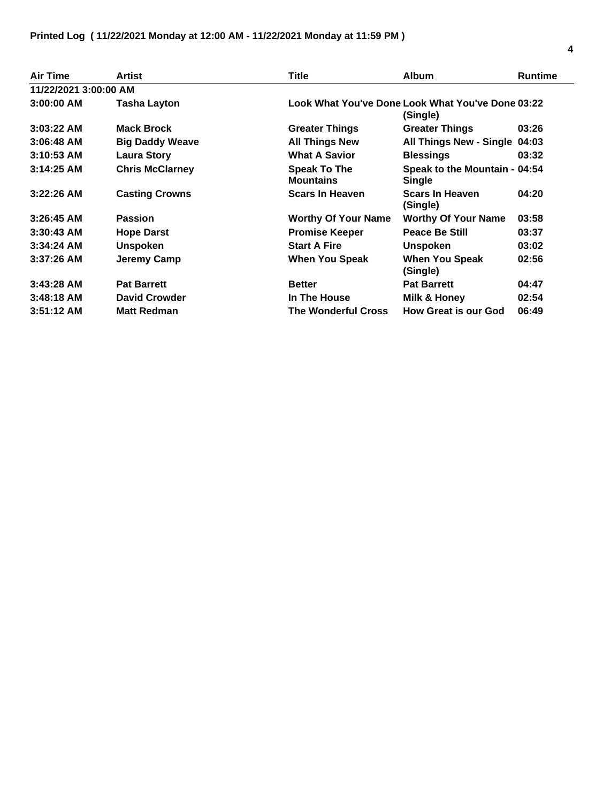| <b>Air Time</b>       | <b>Artist</b>          | Title                                                         | <b>Album</b>                                   | <b>Runtime</b> |  |
|-----------------------|------------------------|---------------------------------------------------------------|------------------------------------------------|----------------|--|
| 11/22/2021 3:00:00 AM |                        |                                                               |                                                |                |  |
| $3:00:00$ AM          | Tasha Layton           | Look What You've Done Look What You've Done 03:22<br>(Single) |                                                |                |  |
| $3:03:22$ AM          | <b>Mack Brock</b>      | <b>Greater Things</b>                                         | <b>Greater Things</b>                          | 03:26          |  |
| $3:06:48$ AM          | <b>Big Daddy Weave</b> | <b>All Things New</b>                                         | All Things New - Single 04:03                  |                |  |
| $3:10:53$ AM          | <b>Laura Story</b>     | <b>What A Savior</b>                                          | <b>Blessings</b>                               | 03:32          |  |
| $3:14:25$ AM          | <b>Chris McClarney</b> | <b>Speak To The</b><br><b>Mountains</b>                       | Speak to the Mountain - 04:54<br><b>Single</b> |                |  |
| $3:22:26$ AM          | <b>Casting Crowns</b>  | <b>Scars In Heaven</b>                                        | <b>Scars In Heaven</b><br>(Single)             | 04:20          |  |
| $3:26:45$ AM          | <b>Passion</b>         | <b>Worthy Of Your Name</b>                                    | <b>Worthy Of Your Name</b>                     | 03:58          |  |
| $3:30:43$ AM          | <b>Hope Darst</b>      | <b>Promise Keeper</b>                                         | <b>Peace Be Still</b>                          | 03:37          |  |
| $3:34:24$ AM          | <b>Unspoken</b>        | <b>Start A Fire</b>                                           | <b>Unspoken</b>                                | 03:02          |  |
| $3:37:26$ AM          | <b>Jeremy Camp</b>     | <b>When You Speak</b>                                         | <b>When You Speak</b><br>(Single)              | 02:56          |  |
| $3:43:28$ AM          | <b>Pat Barrett</b>     | <b>Better</b>                                                 | <b>Pat Barrett</b>                             | 04:47          |  |
| $3:48:18$ AM          | <b>David Crowder</b>   | In The House                                                  | Milk & Honey                                   | 02:54          |  |
| $3:51:12$ AM          | <b>Matt Redman</b>     | <b>The Wonderful Cross</b>                                    | <b>How Great is our God</b>                    | 06:49          |  |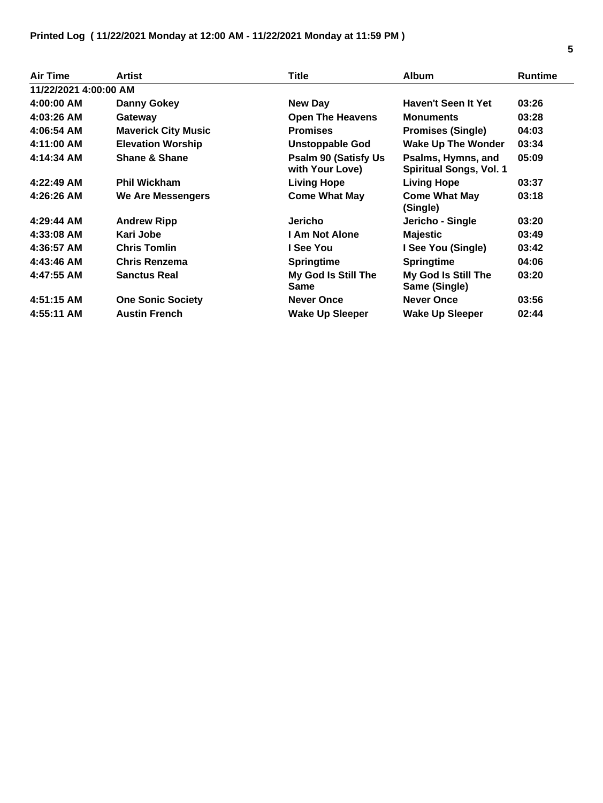| <b>Air Time</b>       | Artist                     | Title                                           | <b>Album</b>                                         | <b>Runtime</b> |
|-----------------------|----------------------------|-------------------------------------------------|------------------------------------------------------|----------------|
| 11/22/2021 4:00:00 AM |                            |                                                 |                                                      |                |
| 4:00:00 AM            | Danny Gokey                | <b>New Day</b>                                  | <b>Haven't Seen It Yet</b>                           | 03:26          |
| 4:03:26 AM            | Gateway                    | <b>Open The Heavens</b>                         | <b>Monuments</b>                                     | 03:28          |
| 4:06:54 AM            | <b>Maverick City Music</b> | <b>Promises</b>                                 | <b>Promises (Single)</b>                             | 04:03          |
| 4:11:00 AM            | <b>Elevation Worship</b>   | Unstoppable God                                 | <b>Wake Up The Wonder</b>                            | 03:34          |
| 4:14:34 AM            | <b>Shane &amp; Shane</b>   | <b>Psalm 90 (Satisfy Us)</b><br>with Your Love) | Psalms, Hymns, and<br><b>Spiritual Songs, Vol. 1</b> | 05:09          |
| $4:22:49$ AM          | <b>Phil Wickham</b>        | <b>Living Hope</b>                              | <b>Living Hope</b>                                   | 03:37          |
| 4:26:26 AM            | We Are Messengers          | <b>Come What May</b>                            | <b>Come What May</b><br>(Single)                     | 03:18          |
| 4:29:44 AM            | <b>Andrew Ripp</b>         | Jericho                                         | Jericho - Single                                     | 03:20          |
| 4:33:08 AM            | Kari Jobe                  | <b>I Am Not Alone</b>                           | <b>Majestic</b>                                      | 03:49          |
| 4:36:57 AM            | <b>Chris Tomlin</b>        | I See You                                       | I See You (Single)                                   | 03:42          |
| 4:43:46 AM            | Chris Renzema              | <b>Springtime</b>                               | <b>Springtime</b>                                    | 04:06          |
| 4:47:55 AM            | <b>Sanctus Real</b>        | My God Is Still The<br>Same                     | My God Is Still The<br>Same (Single)                 | 03:20          |
| 4:51:15 AM            | <b>One Sonic Society</b>   | <b>Never Once</b>                               | <b>Never Once</b>                                    | 03:56          |
| 4:55:11 AM            | <b>Austin French</b>       | <b>Wake Up Sleeper</b>                          | <b>Wake Up Sleeper</b>                               | 02:44          |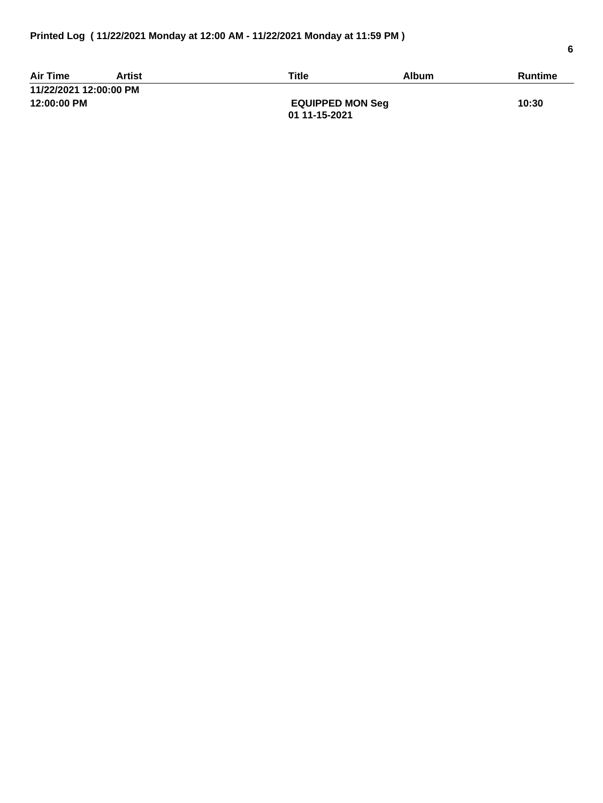| <b>Air Time</b>        | Artist | Title                   | <b>Album</b> | Runtime |
|------------------------|--------|-------------------------|--------------|---------|
| 11/22/2021 12:00:00 PM |        |                         |              |         |
| 12:00:00 PM            |        | <b>EQUIPPED MON Seg</b> |              | 10:30   |
|                        |        | 01 11-15-2021           |              |         |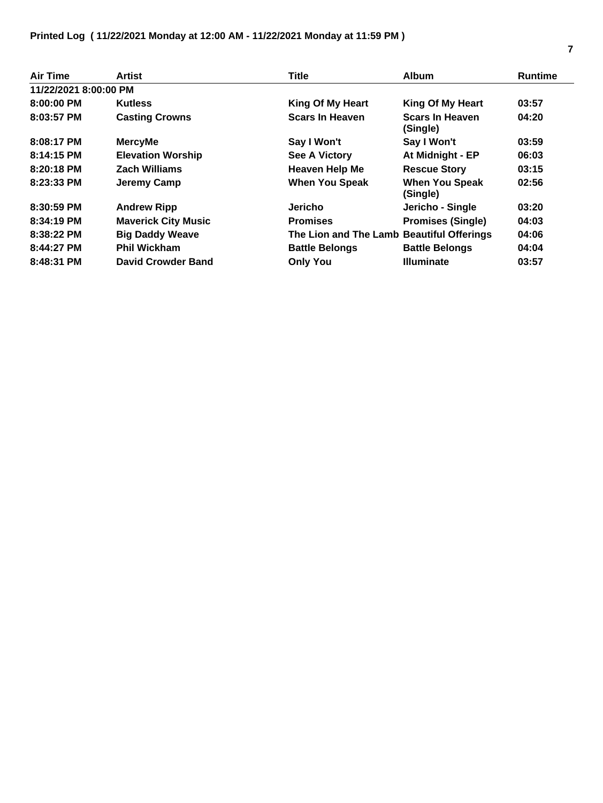## **Printed Log ( 11/22/2021 Monday at 12:00 AM - 11/22/2021 Monday at 11:59 PM )**

| Air Time              | Artist                     | <b>Title</b>                              | <b>Album</b>                       | <b>Runtime</b> |
|-----------------------|----------------------------|-------------------------------------------|------------------------------------|----------------|
| 11/22/2021 8:00:00 PM |                            |                                           |                                    |                |
| $8:00:00$ PM          | <b>Kutless</b>             | <b>King Of My Heart</b>                   | King Of My Heart                   | 03:57          |
| 8:03:57 PM            | <b>Casting Crowns</b>      | <b>Scars In Heaven</b>                    | <b>Scars In Heaven</b><br>(Single) | 04:20          |
| 8:08:17 PM            | <b>MercyMe</b>             | Say I Won't                               | Say I Won't                        | 03:59          |
| 8:14:15 PM            | <b>Elevation Worship</b>   | <b>See A Victory</b>                      | At Midnight - EP                   | 06:03          |
| 8:20:18 PM            | <b>Zach Williams</b>       | <b>Heaven Help Me</b>                     | <b>Rescue Story</b>                | 03:15          |
| $8:23:33$ PM          | Jeremy Camp                | <b>When You Speak</b>                     | <b>When You Speak</b><br>(Single)  | 02:56          |
| 8:30:59 PM            | <b>Andrew Ripp</b>         | Jericho                                   | Jericho - Single                   | 03:20          |
| 8:34:19 PM            | <b>Maverick City Music</b> | <b>Promises</b>                           | <b>Promises (Single)</b>           | 04:03          |
| 8:38:22 PM            | <b>Big Daddy Weave</b>     | The Lion and The Lamb Beautiful Offerings |                                    | 04:06          |
| 8:44:27 PM            | <b>Phil Wickham</b>        | <b>Battle Belongs</b>                     | <b>Battle Belongs</b>              | 04:04          |
| 8:48:31 PM            | <b>David Crowder Band</b>  | <b>Only You</b>                           | <b>Illuminate</b>                  | 03:57          |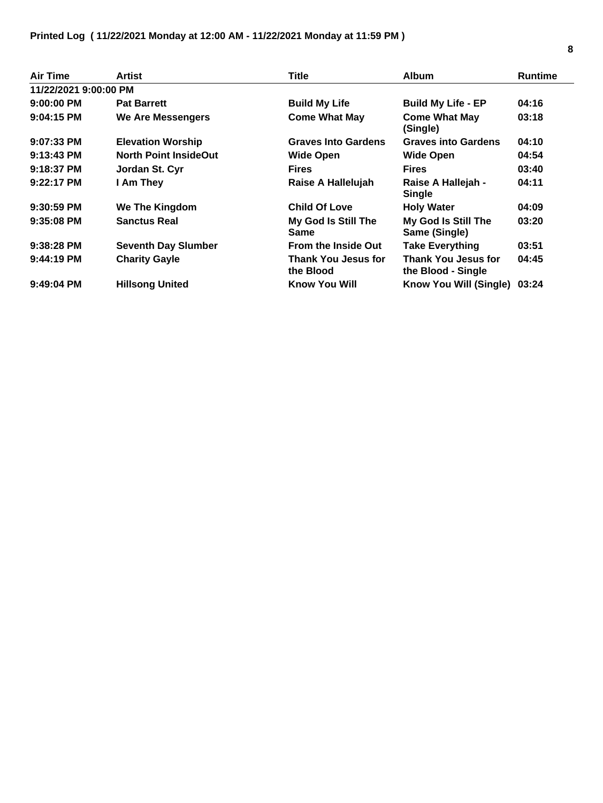| <b>Air Time</b>       | Artist                       | <b>Title</b>                            | <b>Album</b>                                     | <b>Runtime</b> |
|-----------------------|------------------------------|-----------------------------------------|--------------------------------------------------|----------------|
| 11/22/2021 9:00:00 PM |                              |                                         |                                                  |                |
| $9:00:00$ PM          | <b>Pat Barrett</b>           | <b>Build My Life</b>                    | <b>Build My Life - EP</b>                        | 04:16          |
| 9:04:15 PM            | We Are Messengers            | <b>Come What May</b>                    | <b>Come What May</b><br>(Single)                 | 03:18          |
| $9:07:33$ PM          | <b>Elevation Worship</b>     | <b>Graves Into Gardens</b>              | <b>Graves into Gardens</b>                       | 04:10          |
| $9:13:43$ PM          | <b>North Point InsideOut</b> | <b>Wide Open</b>                        | <b>Wide Open</b>                                 | 04:54          |
| 9:18:37 PM            | Jordan St. Cyr               | <b>Fires</b>                            | <b>Fires</b>                                     | 03:40          |
| $9:22:17$ PM          | I Am They                    | Raise A Hallelujah                      | Raise A Hallejah -<br><b>Single</b>              | 04:11          |
| $9:30:59$ PM          | We The Kingdom               | <b>Child Of Love</b>                    | <b>Holy Water</b>                                | 04:09          |
| $9:35:08$ PM          | <b>Sanctus Real</b>          | My God Is Still The<br><b>Same</b>      | My God Is Still The<br>Same (Single)             | 03:20          |
| $9:38:28$ PM          | <b>Seventh Day Slumber</b>   | <b>From the Inside Out</b>              | <b>Take Everything</b>                           | 03:51          |
| $9:44:19$ PM          | <b>Charity Gayle</b>         | <b>Thank You Jesus for</b><br>the Blood | <b>Thank You Jesus for</b><br>the Blood - Single | 04:45          |
| 9:49:04 PM            | <b>Hillsong United</b>       | <b>Know You Will</b>                    | Know You Will (Single)                           | 03:24          |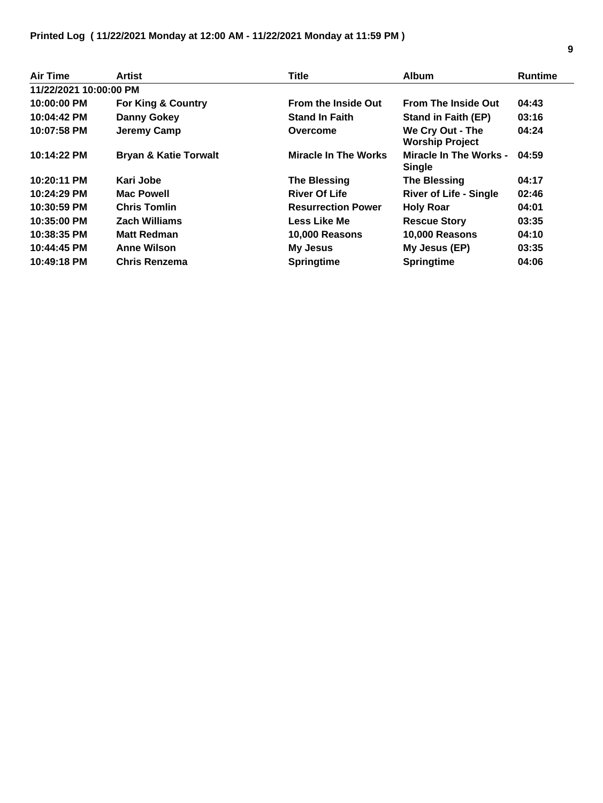| Air Time               | <b>Artist</b>                    | <b>Title</b>                | Album                                          | <b>Runtime</b> |
|------------------------|----------------------------------|-----------------------------|------------------------------------------------|----------------|
| 11/22/2021 10:00:00 PM |                                  |                             |                                                |                |
| 10:00:00 PM            | <b>For King &amp; Country</b>    | <b>From the Inside Out</b>  | <b>From The Inside Out</b>                     | 04:43          |
| 10:04:42 PM            | Danny Gokey                      | <b>Stand In Faith</b>       | <b>Stand in Faith (EP)</b>                     | 03:16          |
| 10:07:58 PM            | Jeremy Camp                      | Overcome                    | We Cry Out - The<br><b>Worship Project</b>     | 04:24          |
| 10:14:22 PM            | <b>Bryan &amp; Katie Torwalt</b> | <b>Miracle In The Works</b> | <b>Miracle In The Works -</b><br><b>Single</b> | 04:59          |
| 10:20:11 PM            | Kari Jobe                        | <b>The Blessing</b>         | <b>The Blessing</b>                            | 04:17          |
| 10:24:29 PM            | <b>Mac Powell</b>                | <b>River Of Life</b>        | <b>River of Life - Single</b>                  | 02:46          |
| 10:30:59 PM            | <b>Chris Tomlin</b>              | <b>Resurrection Power</b>   | <b>Holy Roar</b>                               | 04:01          |
| 10:35:00 PM            | <b>Zach Williams</b>             | <b>Less Like Me</b>         | <b>Rescue Story</b>                            | 03:35          |
| 10:38:35 PM            | <b>Matt Redman</b>               | 10,000 Reasons              | 10,000 Reasons                                 | 04:10          |
| 10:44:45 PM            | <b>Anne Wilson</b>               | <b>My Jesus</b>             | My Jesus (EP)                                  | 03:35          |
| 10:49:18 PM            | <b>Chris Renzema</b>             | <b>Springtime</b>           | <b>Springtime</b>                              | 04:06          |